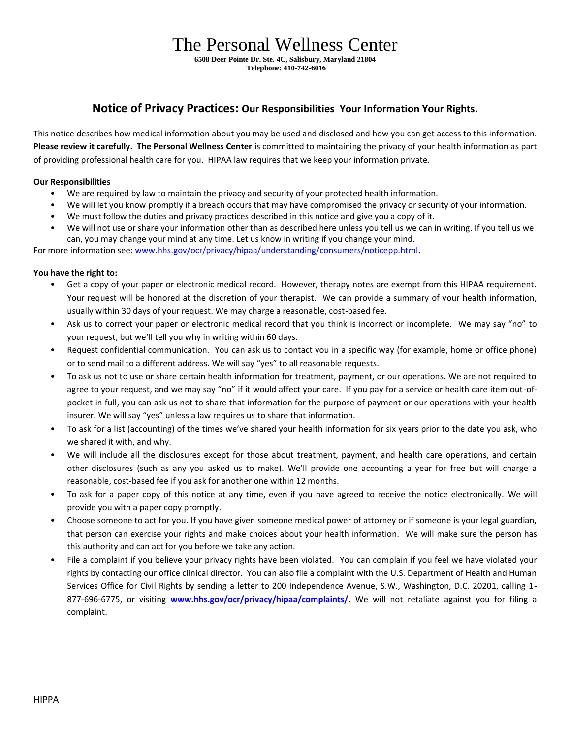# The Personal Wellness Center

**6508 Deer Pointe Dr. Ste. 4C, Salisbury, Maryland 21804 Telephone: 410-742-6016**

# **Notice of Privacy Practices: Our Responsibilities Your Information Your Rights.**

This notice describes how medical information about you may be used and disclosed and how you can get access to this information. **Please review it carefully. The Personal Wellness Center** is committed to maintaining the privacy of your health information as part of providing professional health care for you. HIPAA law requires that we keep your information private.

# **Our Responsibilities**

- We are required by law to maintain the privacy and security of your protected health information.
- We will let you know promptly if a breach occurs that may have compromised the privacy or security of your information.
- We must follow the duties and privacy practices described in this notice and give you a copy of it.
- We will not use or share your information other than as described here unless you tell us we can in writing. If you tell us we can, you may change your mind at any time. Let us know in writing if you change your mind.

For more information see: [www.hhs.gov/ocr/privacy/hipaa/understanding/consumers/noticepp.html](http://www.hhs.gov/ocr/privacy/hipaa/understanding/consumers/noticepp.html)**.**

## **You have the right to:**

- Get a copy of your paper or electronic medical record. However, therapy notes are exempt from this HIPAA requirement. Your request will be honored at the discretion of your therapist. We can provide a summary of your health information, usually within 30 days of your request. We may charge a reasonable, cost-based fee.
- Ask us to correct your paper or electronic medical record that you think is incorrect or incomplete. We may say "no" to your request, but we'll tell you why in writing within 60 days.
- Request confidential communication. You can ask us to contact you in a specific way (for example, home or office phone) or to send mail to a different address. We will say "yes" to all reasonable requests.
- To ask us not to use or share certain health information for treatment, payment, or our operations. We are not required to agree to your request, and we may say "no" if it would affect your care. If you pay for a service or health care item out-ofpocket in full, you can ask us not to share that information for the purpose of payment or our operations with your health insurer. We will say "yes" unless a law requires us to share that information.
- To ask for a list (accounting) of the times we've shared your health information for six years prior to the date you ask, who we shared it with, and why.
- We will include all the disclosures except for those about treatment, payment, and health care operations, and certain other disclosures (such as any you asked us to make). We'll provide one accounting a year for free but will charge a reasonable, cost-based fee if you ask for another one within 12 months.
- To ask for a paper copy of this notice at any time, even if you have agreed to receive the notice electronically. We will provide you with a paper copy promptly.
- Choose someone to act for you. If you have given someone medical power of attorney or if someone is your legal guardian, that person can exercise your rights and make choices about your health information. We will make sure the person has this authority and can act for you before we take any action.
- File a complaint if you believe your privacy rights have been violated. You can complain if you feel we have violated your rights by contacting our office clinical director. You can also file a complaint with the U.S. Department of Health and Human Services Office for Civil Rights by sending a letter to 200 Independence Avenue, S.W., Washington, D.C. 20201, calling 1- 877-696-6775, or visiting **[www.hhs.gov/ocr/privacy/hipaa/complaints/.](http://www.hhs.gov/ocr/privacy/hipaa/complaints/)** We will not retaliate against you for filing a complaint.